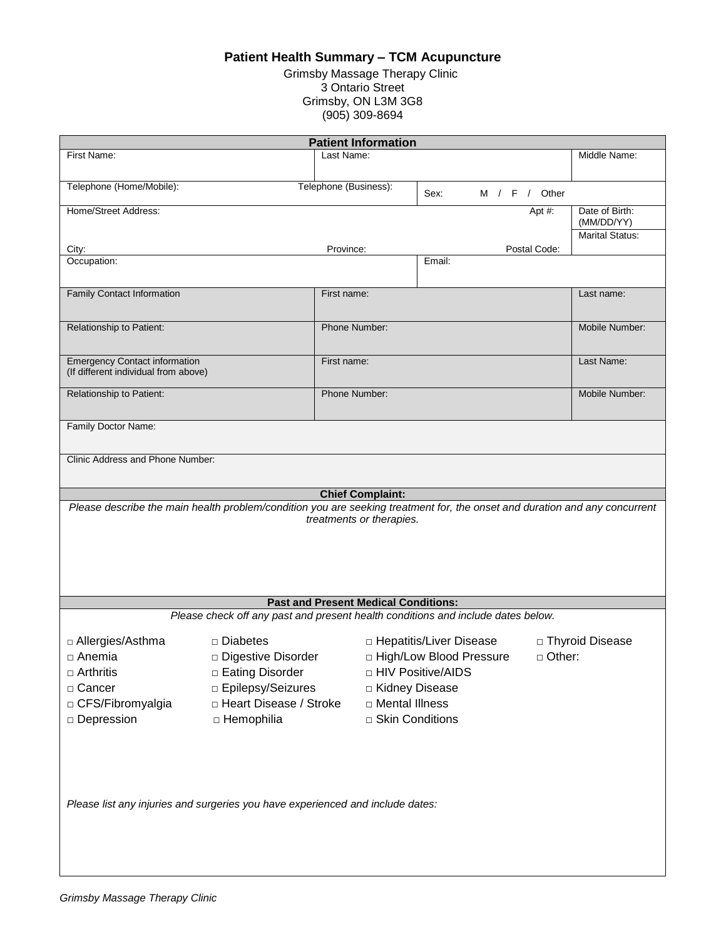## **Patient Health Summary – TCM Acupuncture**

Grimsby Massage Therapy Clinic 3 Ontario Street Grimsby, ON L3M 3G8 (905) 309-8694

| <b>Patient Information</b>                                                                                                 |                          |                       |                           |               |                        |  |
|----------------------------------------------------------------------------------------------------------------------------|--------------------------|-----------------------|---------------------------|---------------|------------------------|--|
| First Name:                                                                                                                |                          | Last Name:            |                           |               | Middle Name:           |  |
|                                                                                                                            |                          |                       |                           |               |                        |  |
| Telephone (Home/Mobile):                                                                                                   |                          | Telephone (Business): |                           |               |                        |  |
|                                                                                                                            |                          |                       | Sex:                      | M / F / Other |                        |  |
| Home/Street Address:                                                                                                       |                          |                       |                           | Apt #:        | Date of Birth:         |  |
|                                                                                                                            |                          |                       |                           |               | (MM/DD/YY)             |  |
|                                                                                                                            |                          |                       |                           |               | <b>Marital Status:</b> |  |
| City:<br>Occupation:                                                                                                       |                          | Province:             | Email:                    | Postal Code:  |                        |  |
|                                                                                                                            |                          |                       |                           |               |                        |  |
|                                                                                                                            |                          |                       |                           |               |                        |  |
| <b>Family Contact Information</b>                                                                                          |                          | First name:           |                           |               | Last name:             |  |
|                                                                                                                            |                          |                       |                           |               |                        |  |
| Relationship to Patient:                                                                                                   |                          | Phone Number:         |                           |               | Mobile Number:         |  |
|                                                                                                                            |                          |                       |                           |               |                        |  |
|                                                                                                                            |                          |                       |                           |               |                        |  |
| <b>Emergency Contact information</b><br>(If different individual from above)                                               |                          | First name:           |                           |               | Last Name:             |  |
|                                                                                                                            |                          |                       |                           |               |                        |  |
| Relationship to Patient:                                                                                                   |                          | Phone Number:         |                           |               | Mobile Number:         |  |
|                                                                                                                            |                          |                       |                           |               |                        |  |
| Family Doctor Name:                                                                                                        |                          |                       |                           |               |                        |  |
|                                                                                                                            |                          |                       |                           |               |                        |  |
| Clinic Address and Phone Number:                                                                                           |                          |                       |                           |               |                        |  |
|                                                                                                                            |                          |                       |                           |               |                        |  |
|                                                                                                                            |                          |                       |                           |               |                        |  |
| <b>Chief Complaint:</b>                                                                                                    |                          |                       |                           |               |                        |  |
| Please describe the main health problem/condition you are seeking treatment for, the onset and duration and any concurrent |                          |                       |                           |               |                        |  |
| treatments or therapies.                                                                                                   |                          |                       |                           |               |                        |  |
|                                                                                                                            |                          |                       |                           |               |                        |  |
|                                                                                                                            |                          |                       |                           |               |                        |  |
|                                                                                                                            |                          |                       |                           |               |                        |  |
|                                                                                                                            |                          |                       |                           |               |                        |  |
|                                                                                                                            |                          |                       |                           |               |                        |  |
| <b>Past and Present Medical Conditions:</b>                                                                                |                          |                       |                           |               |                        |  |
| Please check off any past and present health conditions and include dates below.                                           |                          |                       |                           |               |                        |  |
| □ Allergies/Asthma                                                                                                         | □ Diabetes               |                       | □ Hepatitis/Liver Disease |               | □ Thyroid Disease      |  |
| □ Anemia                                                                                                                   | Digestive Disorder       |                       | □ High/Low Blood Pressure | $\Box$ Other: |                        |  |
|                                                                                                                            |                          |                       |                           |               |                        |  |
| $\Box$ Arthritis                                                                                                           | □ Eating Disorder        |                       | □ HIV Positive/AIDS       |               |                        |  |
| □ Cancer                                                                                                                   | □ Epilepsy/Seizures      | □ Kidney Disease      |                           |               |                        |  |
| □ CFS/Fibromyalgia                                                                                                         | □ Heart Disease / Stroke | □ Mental Illness      |                           |               |                        |  |
| □ Depression                                                                                                               | □ Hemophilia             | □ Skin Conditions     |                           |               |                        |  |
|                                                                                                                            |                          |                       |                           |               |                        |  |
|                                                                                                                            |                          |                       |                           |               |                        |  |
|                                                                                                                            |                          |                       |                           |               |                        |  |
|                                                                                                                            |                          |                       |                           |               |                        |  |
|                                                                                                                            |                          |                       |                           |               |                        |  |
| Please list any injuries and surgeries you have experienced and include dates:                                             |                          |                       |                           |               |                        |  |
|                                                                                                                            |                          |                       |                           |               |                        |  |
|                                                                                                                            |                          |                       |                           |               |                        |  |
|                                                                                                                            |                          |                       |                           |               |                        |  |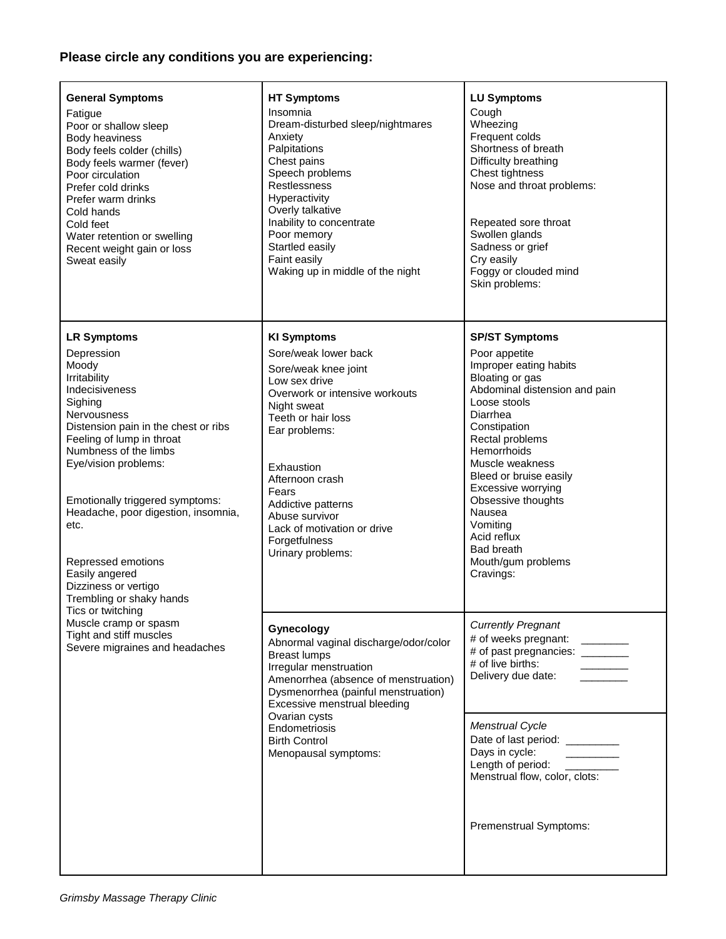## **Please circle any conditions you are experiencing:**

| <b>General Symptoms</b><br>Fatigue<br>Poor or shallow sleep<br>Body heaviness<br>Body feels colder (chills)<br>Body feels warmer (fever)<br>Poor circulation<br>Prefer cold drinks<br>Prefer warm drinks<br>Cold hands<br>Cold feet<br>Water retention or swelling<br>Recent weight gain or loss<br>Sweat easily                                             | <b>HT Symptoms</b><br>Insomnia<br>Dream-disturbed sleep/nightmares<br>Anxiety<br>Palpitations<br>Chest pains<br>Speech problems<br><b>Restlessness</b><br>Hyperactivity<br>Overly talkative<br>Inability to concentrate<br>Poor memory<br>Startled easily<br>Faint easily<br>Waking up in middle of the night | <b>LU Symptoms</b><br>Cough<br>Wheezing<br>Frequent colds<br>Shortness of breath<br>Difficulty breathing<br>Chest tightness<br>Nose and throat problems:<br>Repeated sore throat<br>Swollen glands<br>Sadness or grief<br>Cry easily<br>Foggy or clouded mind<br>Skin problems:                               |
|--------------------------------------------------------------------------------------------------------------------------------------------------------------------------------------------------------------------------------------------------------------------------------------------------------------------------------------------------------------|---------------------------------------------------------------------------------------------------------------------------------------------------------------------------------------------------------------------------------------------------------------------------------------------------------------|---------------------------------------------------------------------------------------------------------------------------------------------------------------------------------------------------------------------------------------------------------------------------------------------------------------|
| <b>LR Symptoms</b><br>Depression<br>Moody                                                                                                                                                                                                                                                                                                                    | <b>KI Symptoms</b><br>Sore/weak lower back<br>Sore/weak knee joint                                                                                                                                                                                                                                            | <b>SP/ST Symptoms</b><br>Poor appetite<br>Improper eating habits                                                                                                                                                                                                                                              |
| Irritability<br>Indecisiveness<br>Sighing<br>Nervousness<br>Distension pain in the chest or ribs<br>Feeling of lump in throat<br>Numbness of the limbs<br>Eye/vision problems:<br>Emotionally triggered symptoms:<br>Headache, poor digestion, insomnia,<br>etc.<br>Repressed emotions<br>Easily angered<br>Dizziness or vertigo<br>Trembling or shaky hands | Low sex drive<br>Overwork or intensive workouts<br>Night sweat<br>Teeth or hair loss<br>Ear problems:<br>Exhaustion<br>Afternoon crash<br>Fears<br>Addictive patterns<br>Abuse survivor<br>Lack of motivation or drive<br>Forgetfulness<br>Urinary problems:                                                  | Bloating or gas<br>Abdominal distension and pain<br>Loose stools<br>Diarrhea<br>Constipation<br>Rectal problems<br>Hemorrhoids<br>Muscle weakness<br>Bleed or bruise easily<br>Excessive worrying<br>Obsessive thoughts<br>Nausea<br>Vomiting<br>Acid reflux<br>Bad breath<br>Mouth/gum problems<br>Cravings: |
| Tics or twitching<br>Muscle cramp or spasm<br>Tight and stiff muscles<br>Severe migraines and headaches                                                                                                                                                                                                                                                      | Gynecology<br>Abnormal vaginal discharge/odor/color<br><b>Breast lumps</b><br>Irregular menstruation<br>Amenorrhea (absence of menstruation)<br>Dysmenorrhea (painful menstruation)<br>Excessive menstrual bleeding                                                                                           | <b>Currently Pregnant</b><br># of weeks pregnant: ________<br># of past pregnancies: ________<br># of live births:<br>Delivery due date:                                                                                                                                                                      |
|                                                                                                                                                                                                                                                                                                                                                              | Ovarian cysts<br>Endometriosis<br><b>Birth Control</b><br>Menopausal symptoms:                                                                                                                                                                                                                                | Menstrual Cycle<br>Date of last period: ________<br>Days in cycle:<br>Length of period: ____<br>Menstrual flow, color, clots:                                                                                                                                                                                 |
|                                                                                                                                                                                                                                                                                                                                                              |                                                                                                                                                                                                                                                                                                               | Premenstrual Symptoms:                                                                                                                                                                                                                                                                                        |